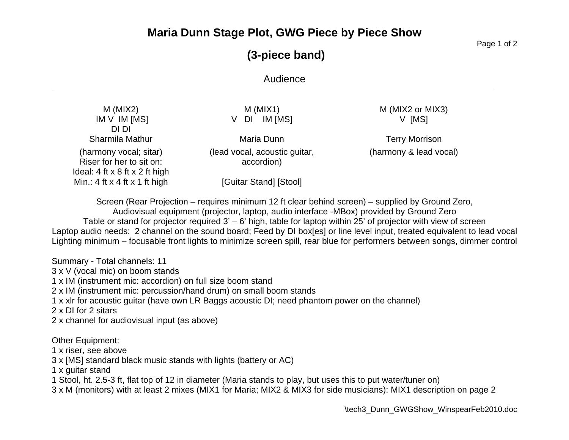### **Maria Dunn Stage Plot, GWG Piece by Piece Show**

Page 1 of 2

# **(3-piece band)**

### Audience

| $M$ (MIX2)<br>IM V IM [MS]<br>DI DI                                                                  | $M$ (MIX1)<br>IM [MS]<br>DI<br>V            | M (MIX2 or MIX3)<br>V [MS] |
|------------------------------------------------------------------------------------------------------|---------------------------------------------|----------------------------|
| Sharmila Mathur                                                                                      | Maria Dunn                                  | <b>Terry Morrison</b>      |
| (harmony vocal; sitar)<br>Riser for her to sit on:<br>Ideal: $4$ ft $\times$ 8 ft $\times$ 2 ft high | (lead vocal, acoustic guitar,<br>accordion) | (harmony & lead vocal)     |
| Min.: 4 ft $x$ 4 ft $x$ 1 ft high                                                                    | [Guitar Stand] [Stool]                      |                            |

Screen (Rear Projection – requires minimum 12 ft clear behind screen) – supplied by Ground Zero,

Audiovisual equipment (projector, laptop, audio interface -MBox) provided by Ground Zero Table or stand for projector required 3' – 6' high, table for laptop within 25' of projector with view of screen Laptop audio needs: 2 channel on the sound board; Feed by DI box[es] or line level input, treated equivalent to lead vocal Lighting minimum – focusable front lights to minimize screen spill, rear blue for performers between songs, dimmer control

Summary - Total channels: 11

3 x V (vocal mic) on boom stands

1 x IM (instrument mic: accordion) on full size boom stand

2 x IM (instrument mic: percussion/hand drum) on small boom stands

1 x xlr for acoustic guitar (have own LR Baggs acoustic DI; need phantom power on the channel)

2 x DI for 2 sitars

2 x channel for audiovisual input (as above)

#### Other Equipment:

1 x riser, see above

3 x [MS] standard black music stands with lights (battery or AC)

1 x guitar stand

1 Stool, ht. 2.5-3 ft, flat top of 12 in diameter (Maria stands to play, but uses this to put water/tuner on)

3 x M (monitors) with at least 2 mixes (MIX1 for Maria; MIX2 & MIX3 for side musicians): MIX1 description on page 2